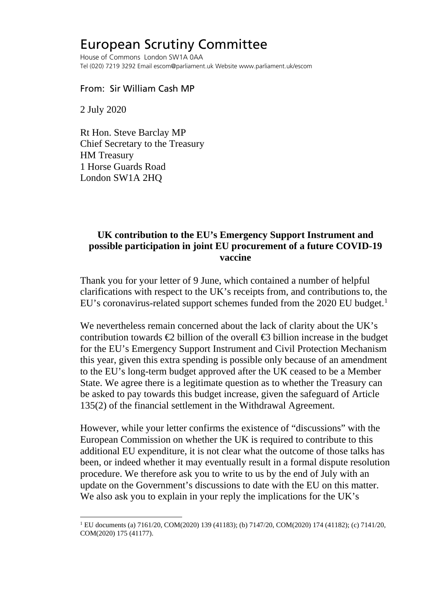## European Scrutiny Committee

House of Commons London SW1A 0AA Tel (020) 7219 3292 Email escom@parliament.uk Website www.parliament.uk/escom

## From: Sir William Cash MP

2 July 2020

Rt Hon. Steve Barclay MP Chief Secretary to the Treasury HM Treasury 1 Horse Guards Road London SW1A 2HQ

## **UK contribution to the EU's Emergency Support Instrument and possible participation in joint EU procurement of a future COVID-19 vaccine**

Thank you for your letter of 9 June, which contained a number of helpful clarifications with respect to the UK's receipts from, and contributions to, the EU's coronavirus-related support schemes funded from the 2020 EU budget.<sup>[1](#page-0-0)</sup>

We nevertheless remain concerned about the lack of clarity about the UK's contribution towards  $\bigoplus$  billion of the overall  $\bigoplus$  billion increase in the budget for the EU's Emergency Support Instrument and Civil Protection Mechanism this year, given this extra spending is possible only because of an amendment to the EU's long-term budget approved after the UK ceased to be a Member State. We agree there is a legitimate question as to whether the Treasury can be asked to pay towards this budget increase, given the safeguard of Article 135(2) of the financial settlement in the Withdrawal Agreement.

However, while your letter confirms the existence of "discussions" with the European Commission on whether the UK is required to contribute to this additional EU expenditure, it is not clear what the outcome of those talks has been, or indeed whether it may eventually result in a formal dispute resolution procedure. We therefore ask you to write to us by the end of July with an update on the Government's discussions to date with the EU on this matter. We also ask you to explain in your reply the implications for the UK's

<span id="page-0-0"></span><sup>&</sup>lt;sup>1</sup> EU documents (a) 7161/20, COM(2020) 139 (41183); (b) 7147/20, COM(2020) 174 (41182); (c) 7141/20, COM(2020) 175 (41177).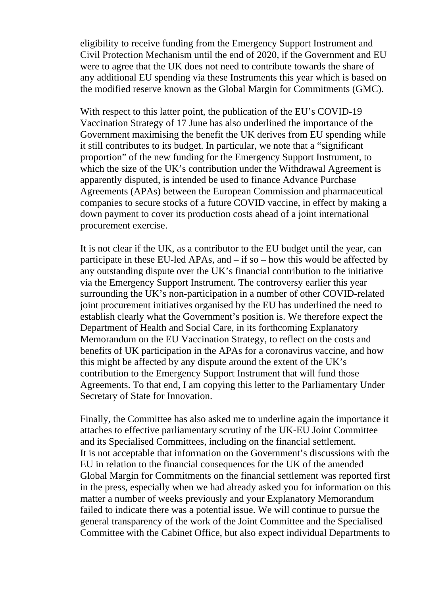eligibility to receive funding from the Emergency Support Instrument and Civil Protection Mechanism until the end of 2020, if the Government and EU were to agree that the UK does not need to contribute towards the share of any additional EU spending via these Instruments this year which is based on the modified reserve known as the Global Margin for Commitments (GMC).

With respect to this latter point, the publication of the EU's COVID-19 Vaccination Strategy of 17 June has also underlined the importance of the Government maximising the benefit the UK derives from EU spending while it still contributes to its budget. In particular, we note that a "significant proportion" of the new funding for the Emergency Support Instrument, to which the size of the UK's contribution under the Withdrawal Agreement is apparently disputed, is intended be used to finance Advance Purchase Agreements (APAs) between the European Commission and pharmaceutical companies to secure stocks of a future COVID vaccine, in effect by making a down payment to cover its production costs ahead of a joint international procurement exercise.

It is not clear if the UK, as a contributor to the EU budget until the year, can participate in these EU-led APAs, and – if so – how this would be affected by any outstanding dispute over the UK's financial contribution to the initiative via the Emergency Support Instrument. The controversy earlier this year surrounding the UK's non-participation in a number of other COVID-related joint procurement initiatives organised by the EU has underlined the need to establish clearly what the Government's position is. We therefore expect the Department of Health and Social Care, in its forthcoming Explanatory Memorandum on the EU Vaccination Strategy, to reflect on the costs and benefits of UK participation in the APAs for a coronavirus vaccine, and how this might be affected by any dispute around the extent of the UK's contribution to the Emergency Support Instrument that will fund those Agreements. To that end, I am copying this letter to the Parliamentary Under Secretary of State for Innovation.

Finally, the Committee has also asked me to underline again the importance it attaches to effective parliamentary scrutiny of the UK-EU Joint Committee and its Specialised Committees, including on the financial settlement. It is not acceptable that information on the Government's discussions with the EU in relation to the financial consequences for the UK of the amended Global Margin for Commitments on the financial settlement was reported first in the press, especially when we had already asked you for information on this matter a number of weeks previously and your Explanatory Memorandum failed to indicate there was a potential issue. We will continue to pursue the general transparency of the work of the Joint Committee and the Specialised Committee with the Cabinet Office, but also expect individual Departments to